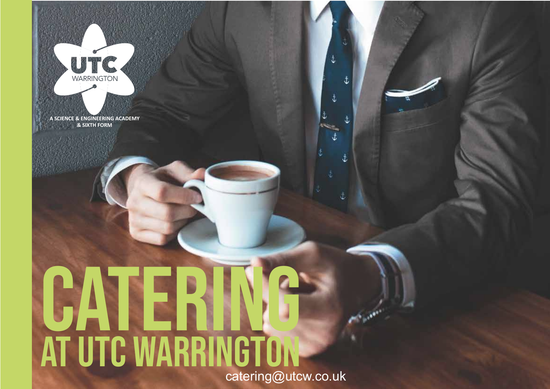

**A SCIENCE & ENGINEERING ACADEMY & SIXTH FORM**

# **CATER** AT UTC WARRINGTO catering@utcw.co.uk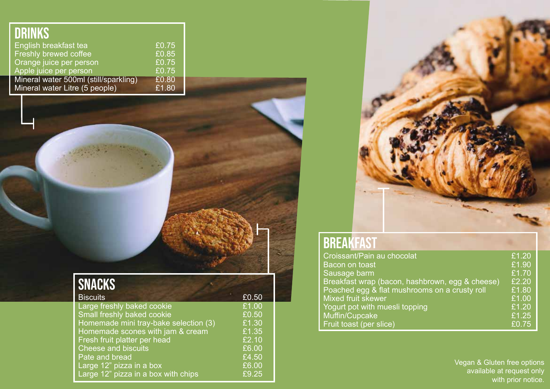| <b>DRINKS</b>                         |       |
|---------------------------------------|-------|
| English breakfast tea                 | £0.75 |
| <b>Freshly brewed coffee</b>          | £0.85 |
| Orange juice per person               | £0.75 |
| Apple juice per person                | £0.75 |
| Mineral water 500ml (still/sparkling) | £0.80 |
| Mineral water Litre (5 people)        | £1.80 |

| <b>SNACKS</b>                         |       |
|---------------------------------------|-------|
| <b>Biscuits</b>                       | £0.50 |
| Large freshly baked cookie            | £1.00 |
| Small freshly baked cookie            | £0.50 |
| Homemade mini tray-bake selection (3) | £1.30 |
| Homemade scones with jam & cream      | £1.35 |
| Fresh fruit platter per head          | £2.10 |
| <b>Cheese and biscuits</b>            | £6.00 |
| Pate and bread                        | £4.50 |
| Large 12" pizza in a box              | £6.00 |
| Large 12" pizza in a box with chips   | £9.25 |



## **BREAKFAST**

| Croissant/Pain au chocolat                      | £1.20 |
|-------------------------------------------------|-------|
| Bacon on toast                                  | £1.90 |
| Sausage barm                                    | £1.70 |
| Breakfast wrap (bacon, hashbrown, egg & cheese) | £2.20 |
| Poached egg & flat mushrooms on a crusty roll   | £1.80 |
| <b>Mixed fruit skewer</b>                       | £1.00 |
| Yogurt pot with muesli topping                  | £1.20 |
| Muffin/Cupcake                                  | £1.25 |
| Fruit toast (per slice)                         | £0.75 |

Vegan & Gluten free options available at request only with prior notice.